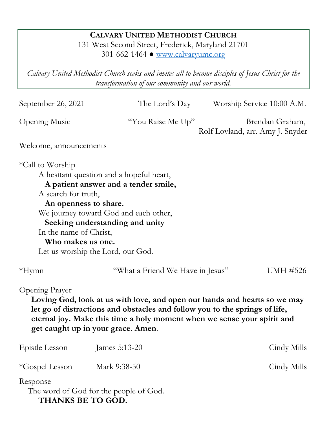# **CALVARY UNITED METHODIST CHURCH**

131 West Second Street, Frederick, Maryland 21701 301-662-1464 ● [www.calvaryumc.org](http://www.calvaryumc.org/)

*Calvary United Methodist Church seeks and invites all to become disciples of Jesus Christ for the transformation of our community and our world.* 

September 26, 2021 The Lord's Day Worship Service 10:00 A.M.

Opening Music "You Raise Me Up" Brendan Graham,

Rolf Lovland, arr. Amy J. Snyder

Welcome, announcements

\*Call to Worship

A hesitant question and a hopeful heart,

 **A patient answer and a tender smile,**

A search for truth,

 **An openness to share.** We journey toward God and each other,

 **Seeking understanding and unity**

In the name of Christ,

 **Who makes us one.** Let us worship the Lord, our God.

\*Hymn "What a Friend We Have in Jesus" UMH #526

Opening Prayer

**Loving God, look at us with love, and open our hands and hearts so we may let go of distractions and obstacles and follow you to the springs of life, eternal joy. Make this time a holy moment when we sense your spirit and get caught up in your grace. Amen**.

| Epistle Lesson                | James $5:13-20$                        | Cindy Mills |
|-------------------------------|----------------------------------------|-------------|
| *Gospel Lesson                | Mark 9:38-50                           | Cindy Mills |
| Response<br>THANKS BE TO GOD. | The word of God for the people of God. |             |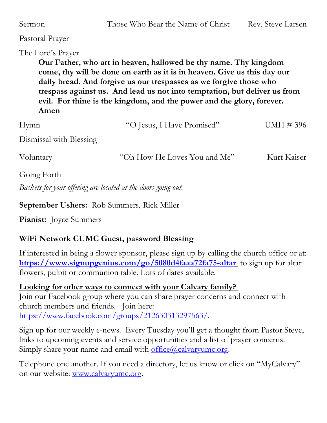| Sermon                    | Those Who Bear the Name of Christ                                                                                                                                                                                                                                                                                                                                        | Rev. Steve Larsen |
|---------------------------|--------------------------------------------------------------------------------------------------------------------------------------------------------------------------------------------------------------------------------------------------------------------------------------------------------------------------------------------------------------------------|-------------------|
| Pastoral Prayer           |                                                                                                                                                                                                                                                                                                                                                                          |                   |
| The Lord's Prayer<br>Amen | Our Father, who art in heaven, hallowed be thy name. Thy kingdom<br>come, thy will be done on earth as it is in heaven. Give us this day our<br>daily bread. And forgive us our trespasses as we forgive those who<br>trespass against us. And lead us not into temptation, but deliver us from<br>evil. For thine is the kingdom, and the power and the glory, forever. |                   |
| Hymn                      | "O Jesus, I Have Promised"                                                                                                                                                                                                                                                                                                                                               | UMH #396          |
| Dismissal with Blessing   |                                                                                                                                                                                                                                                                                                                                                                          |                   |
| Voluntary                 | "Oh How He Loves You and Me"                                                                                                                                                                                                                                                                                                                                             | Kurt Kaiser       |
| Going Forth               |                                                                                                                                                                                                                                                                                                                                                                          |                   |
|                           | Baskets for your offering are located at the doors going out.                                                                                                                                                                                                                                                                                                            |                   |

**September Ushers:** Rob Summers, Rick Miller

**Pianist:** Joyce Summers

## **WiFi Network CUMC Guest, password Blessing**

If interested in being a flower sponsor, please sign up by calling the church office or at: **<https://www.signupgenius.com/go/5080d4faaa72fa75-altar>** to sign up for altar flowers, pulpit or communion table. Lots of dates available.

**Looking for other ways to connect with your Calvary family?**  Join our Facebook group where you can share prayer concerns and connect with church members and friends. Join here: [https://www.facebook.com/groups/212630313297563/.](https://www.facebook.com/groups/212630313297563/)

Sign up for our weekly e-news. Every Tuesday you'll get a thought from Pastor Steve, links to upcoming events and service opportunities and a list of prayer concerns. Simply share your name and email with  $office(\omega)$  calvaryumc.org.

Telephone one another. If you need a directory, let us know or click on "MyCalvary" on our website: [www.calvaryumc.org.](http://www.calvaryumc.org/)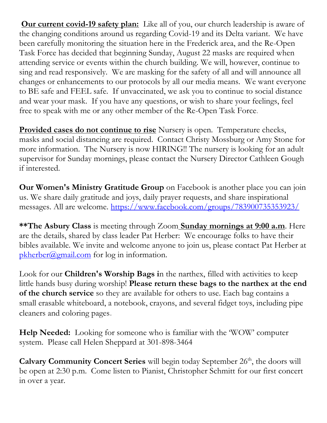**Our current covid-19 safety plan:** Like all of you, our church leadership is aware of the changing conditions around us regarding Covid-19 and its Delta variant. We have been carefully monitoring the situation here in the Frederick area, and the Re-Open Task Force has decided that beginning Sunday, August 22 masks are required when attending service or events within the church building. We will, however, continue to sing and read responsively. We are masking for the safety of all and will announce all changes or enhancements to our protocols by all our media means. We want everyone to BE safe and FEEL safe. If unvaccinated, we ask you to continue to social distance and wear your mask. If you have any questions, or wish to share your feelings, feel free to speak with me or any other member of the Re-Open Task Force.

**Provided cases do not continue to rise** Nursery is open. Temperature checks, masks and social distancing are required. Contact Christy Mossburg or Amy Stone for more information. The Nursery is now HIRING!! The nursery is looking for an adult supervisor for Sunday mornings, please contact the Nursery Director Cathleen Gough if interested.

**Our Women's Ministry Gratitude Group** on Facebook is another place you can join us. We share daily gratitude and joys, daily prayer requests, and share inspirational messages. All are welcome.<https://www.facebook.com/groups/783900735353923/>

**\*\*The Asbury Class** is meeting through Zoom **Sunday mornings at 9:00 a.m**. Here are the details, shared by class leader Pat Herber: We encourage folks to have their bibles available. We invite and welcome anyone to join us, please contact Pat Herber at  $pkherber@gmail.com$  for log in information.

Look for our **Children's Worship Bags i**n the narthex, filled with activities to keep little hands busy during worship! **Please return these bags to the narthex at the end of the church service** so they are available for others to use. Each bag contains a small erasable whiteboard, a notebook, crayons, and several fidget toys, including pipe cleaners and coloring pages.

**Help Needed:** Looking for someone who is familiar with the 'WOW' computer system. Please call Helen Sheppard at 301-898-3464

**Calvary Community Concert Series** will begin today September 26<sup>th</sup>, the doors will be open at 2:30 p.m. Come listen to Pianist, Christopher Schmitt for our first concert in over a year.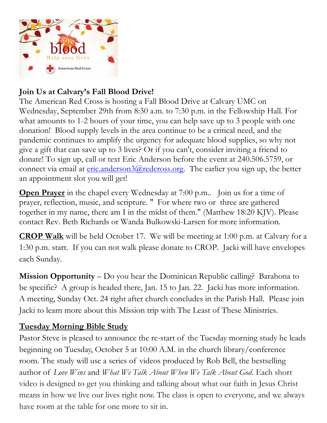

# **Join Us at Calvary's Fall Blood Drive!**

The American Red Cross is hosting a Fall Blood Drive at Calvary UMC on Wednesday, September 29th from 8:30 a.m. to 7:30 p.m. in the Fellowship Hall. For what amounts to 1-2 hours of your time, you can help save up to 3 people with one donation! Blood supply levels in the area continue to be a critical need, and the pandemic continues to amplify the urgency for adequate blood supplies, so why not give a gift that can save up to 3 lives? Or if you can't, consider inviting a friend to donate! To sign up, call or text Eric Anderson before the event at 240.506.5759, or connect via email at  $eric. anderson3@redcross.org. The earlier you sign up, the better$ </u> an appointment slot you will get!

**Open Prayer** in the chapel every Wednesday at 7:00 p.m.. Join us for a time of prayer, reflection, music, and scripture. " For where two or three are gathered together in my name, there am I in the midst of them." (Matthew 18:20 KJV). Please contact Rev. Beth Richards or Wanda Bulkowski-Larsen for more information.

**CROP Walk** will be held October 17. We will be meeting at 1:00 p.m. at Calvary for a 1:30 p.m. start. If you can not walk please donate to CROP. Jacki will have envelopes each Sunday.

**Mission Opportunity** – Do you hear the Dominican Republic calling? Barahona to be specific? A group is headed there, Jan. 15 to Jan. 22. Jacki has more information. A meeting, Sunday Oct. 24 right after church concludes in the Parish Hall. Please join Jacki to learn more about this Mission trip with The Least of These Ministries.

# **Tuesday Morning Bible Study**

Pastor Steve is pleased to announce the re-start of the Tuesday morning study he leads beginning on Tuesday, October 5 at 10:00 A.M. in the church library/conference room. The study will use a series of videos produced by Rob Bell, the bestselling author of *Love Wins* and *What We Talk About When We Talk About God*. Each short video is designed to get you thinking and talking about what our faith in Jesus Christ means in how we live our lives right now. The class is open to everyone, and we always have room at the table for one more to sit in.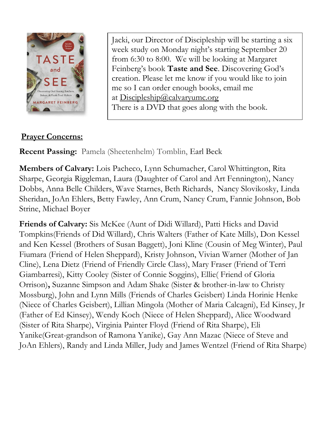

Jacki, our Director of Discipleship will be starting a six week study on Monday night's starting September 20 from 6:30 to 8:00. We will be looking at Margaret Feinberg's book **Taste and See**. Discovering God's creation. Please let me know if you would like to join me so I can order enough books, email me at [Discipleship@calvaryumc.org](mailto:Discipleship@calvaryumc.org) There is a DVD that goes along with the book.

# **Prayer Concerns:**

**Recent Passing:** Pamela (Sheetenhelm) Tomblin, Earl Beck

**Members of Calvary:** Lois Pacheco, Lynn Schumacher, Carol Whittington, Rita Sharpe, Georgia Riggleman, Laura (Daughter of Carol and Art Fennington), Nancy Dobbs, Anna Belle Childers, Wave Starnes, Beth Richards, Nancy Slovikosky, Linda Sheridan, JoAn Ehlers, Betty Fawley, Ann Crum, Nancy Crum, Fannie Johnson, Bob Strine, Michael Boyer

**Friends of Calvary:** Sis McKee (Aunt of Didi Willard), Patti Hicks and David Tompkins(Friends of Did Willard), Chris Walters (Father of Kate Mills), Don Kessel and Ken Kessel (Brothers of Susan Baggett), Joni Kline (Cousin of Meg Winter), Paul Fiumara (Friend of Helen Sheppard), Kristy Johnson, Vivian Warner (Mother of Jan Cline), Lena Dietz (Friend of Friendly Circle Class), Mary Fraser (Friend of Terri Giambarresi), Kitty Cooley (Sister of Connie Soggins), Ellie( Friend of Gloria Orrison)**,** Suzanne Simpson and Adam Shake (Sister & brother-in-law to Christy Mossburg), John and Lynn Mills (Friends of Charles Geisbert) Linda Horinie Henke (Niece of Charles Geisbert), Lillian Mingola (Mother of Maria Calcagni), Ed Kinsey, Jr (Father of Ed Kinsey), Wendy Koch (Niece of Helen Sheppard), Alice Woodward (Sister of Rita Sharpe), Virginia Painter Floyd (Friend of Rita Sharpe), Eli Yanike(Great-grandson of Ramona Yanike), Gay Ann Mazac (Niece of Steve and JoAn Ehlers), Randy and Linda Miller, Judy and James Wentzel (Friend of Rita Sharpe)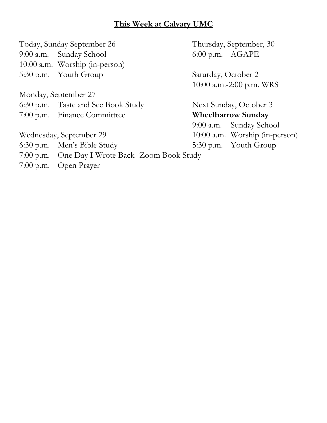### **This Week at Calvary UMC**

Today, Sunday September 26 Thursday, September, 30 9:00 a.m. Sunday School 6:00 p.m. AGAPE 10:00 a.m. Worship (in-person) 5:30 p.m. Youth Group Saturday, October 2

Monday, September 27 6:30 p.m. Taste and See Book Study Next Sunday, October 3

Wednesday, September 29 10:00 a.m. Worship (in-person)

6:30 p.m. Men's Bible Study 5:30 p.m. Youth Group

- 7:00 p.m. One Day I Wrote Back- Zoom Book Study
- 7:00 p.m. Open Prayer

10:00 a.m.-2:00 p.m. WRS

7:00 p.m. Finance Committtee **Wheelbarrow Sunday** 9:00 a.m. Sunday School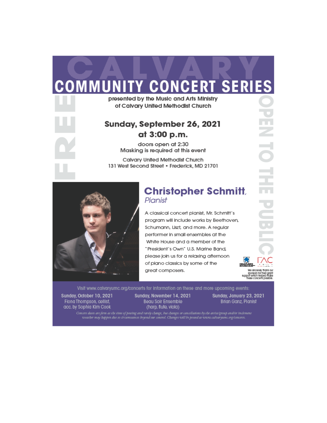# **COMMUNITY CONCERT SERIES**

presented by the Music and Arts Ministry of Calvary United Methodist Church

## Sunday, September 26, 2021 at 3:00 p.m.

doors open at 2:30 Masking is required at this event

**Calvary United Methodist Church** 131 West Second Street · Frederick, MD 21701



### **Christopher Schmitt** Pianist

A classical concert pianist, Mr. Schmitt's program will include works by Beethoven, Schumann, Liszt, and more. A regular performer in small ensembles at the White House and a member of the "President's Own" U.S. Marine Band, please join us for a relaxing afternoon of plano classics by some of the great composers.

We shoerely thank our we sincerey inclusion<br>sporsors for their grant<br>support which helped make

Visit www.calvaryumc.org/concerts for information on these and more upcoming events:

Sunday, October 10, 2021 Fiona Thompson, cellist, acc. by Sophia Kim Cook

Sunday, November 14, 2021 Beau Soir Ensemble (harp, flute, viola)

Sunday, January 23, 2021 Brian Ganz, Pianist

Concert dates are form at the time of posting and rarely change, but changes or cancellations by the artist/group and/or inclement<br>weather may happen due to circumstances beyond our control. Changes will be posted at www.c